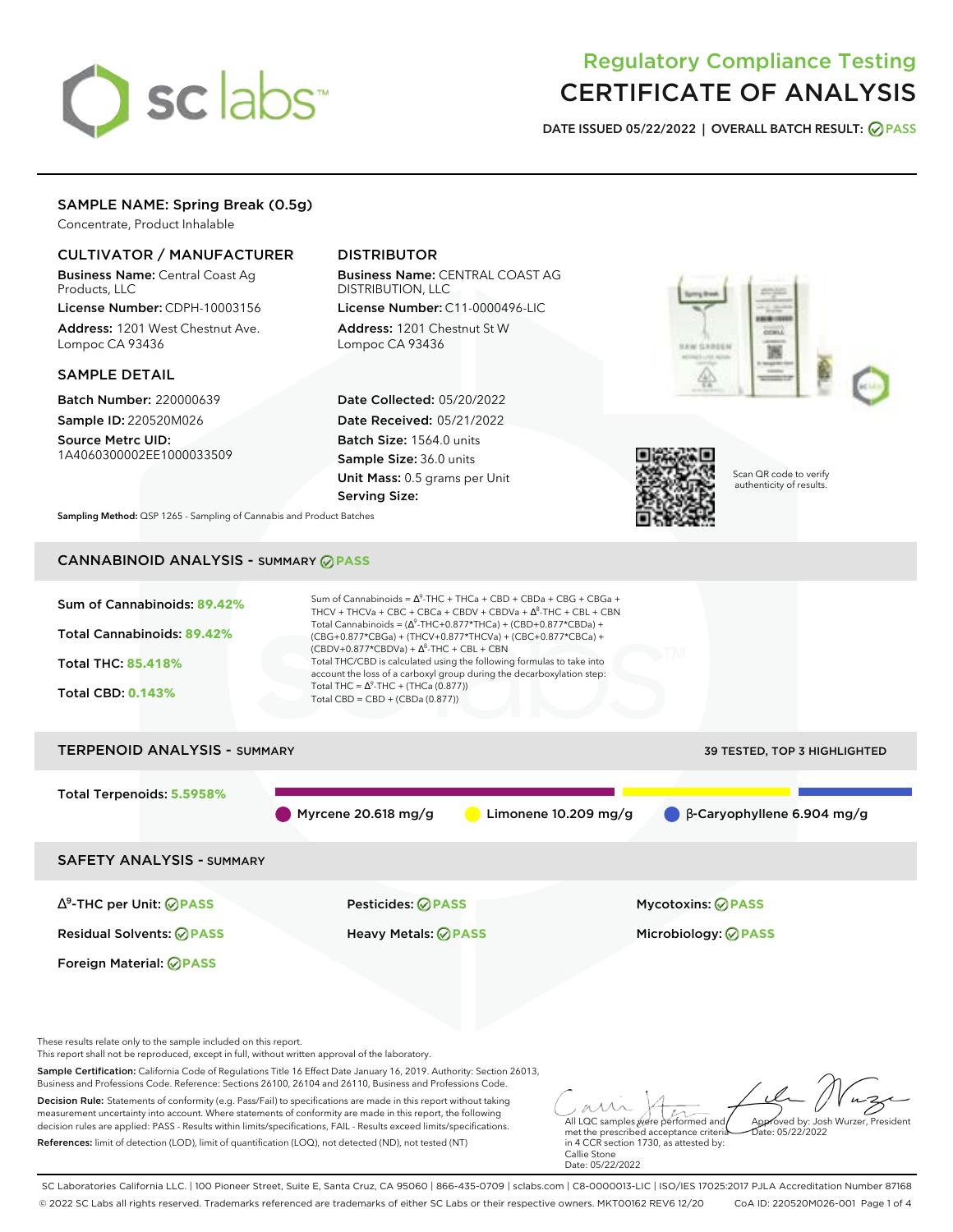# sclabs<sup>\*</sup>

# Regulatory Compliance Testing CERTIFICATE OF ANALYSIS

**DATE ISSUED 05/22/2022 | OVERALL BATCH RESULT: PASS**

# SAMPLE NAME: Spring Break (0.5g)

Concentrate, Product Inhalable

# CULTIVATOR / MANUFACTURER

Business Name: Central Coast Ag Products, LLC

License Number: CDPH-10003156 Address: 1201 West Chestnut Ave. Lompoc CA 93436

# SAMPLE DETAIL

Batch Number: 220000639 Sample ID: 220520M026

Source Metrc UID: 1A4060300002EE1000033509

# DISTRIBUTOR

Business Name: CENTRAL COAST AG DISTRIBUTION, LLC License Number: C11-0000496-LIC

Address: 1201 Chestnut St W Lompoc CA 93436

Date Collected: 05/20/2022 Date Received: 05/21/2022 Batch Size: 1564.0 units Sample Size: 36.0 units Unit Mass: 0.5 grams per Unit Serving Size:





Scan QR code to verify authenticity of results.

**Sampling Method:** QSP 1265 - Sampling of Cannabis and Product Batches

# CANNABINOID ANALYSIS - SUMMARY **PASS**



References: limit of detection (LOD), limit of quantification (LOQ), not detected (ND), not tested (NT)

in 4 CCR section 1730, as attested by: Callie Stone Date: 05/22/2022

SC Laboratories California LLC. | 100 Pioneer Street, Suite E, Santa Cruz, CA 95060 | 866-435-0709 | sclabs.com | C8-0000013-LIC | ISO/IES 17025:2017 PJLA Accreditation Number 87168 © 2022 SC Labs all rights reserved. Trademarks referenced are trademarks of either SC Labs or their respective owners. MKT00162 REV6 12/20 CoA ID: 220520M026-001 Page 1 of 4